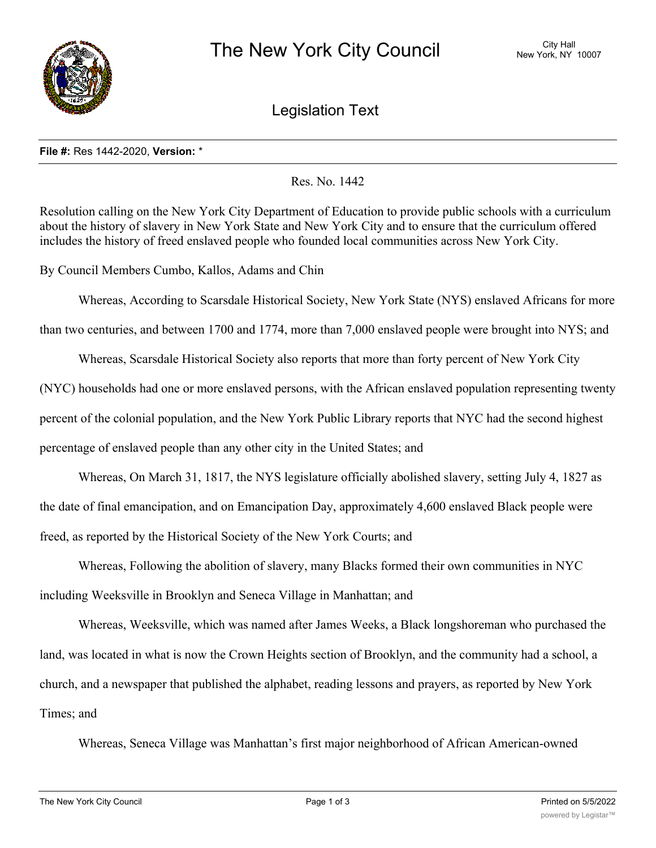

Legislation Text

## **File #:** Res 1442-2020, **Version:** \*

Res. No. 1442

Resolution calling on the New York City Department of Education to provide public schools with a curriculum about the history of slavery in New York State and New York City and to ensure that the curriculum offered includes the history of freed enslaved people who founded local communities across New York City.

By Council Members Cumbo, Kallos, Adams and Chin

Whereas, According to Scarsdale Historical Society, New York State (NYS) enslaved Africans for more

than two centuries, and between 1700 and 1774, more than 7,000 enslaved people were brought into NYS; and

Whereas, Scarsdale Historical Society also reports that more than forty percent of New York City (NYC) households had one or more enslaved persons, with the African enslaved population representing twenty percent of the colonial population, and the New York Public Library reports that NYC had the second highest percentage of enslaved people than any other city in the United States; and

Whereas, On March 31, 1817, the NYS legislature officially abolished slavery, setting July 4, 1827 as the date of final emancipation, and on Emancipation Day, approximately 4,600 enslaved Black people were freed, as reported by the Historical Society of the New York Courts; and

Whereas, Following the abolition of slavery, many Blacks formed their own communities in NYC including Weeksville in Brooklyn and Seneca Village in Manhattan; and

Whereas, Weeksville, which was named after James Weeks, a Black longshoreman who purchased the land, was located in what is now the Crown Heights section of Brooklyn, and the community had a school, a church, and a newspaper that published the alphabet, reading lessons and prayers, as reported by New York Times; and

Whereas, Seneca Village was Manhattan's first major neighborhood of African American-owned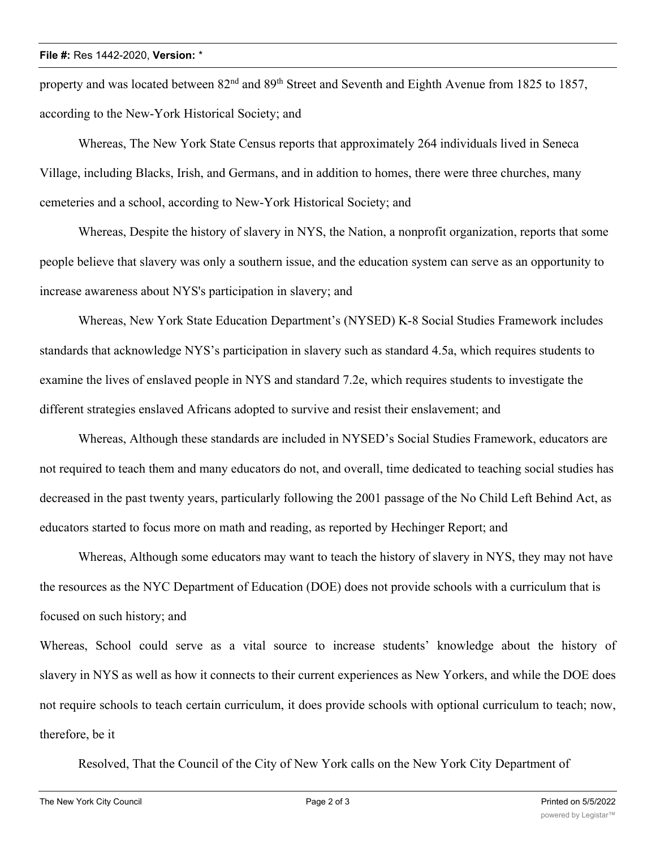property and was located between  $82<sup>nd</sup>$  and  $89<sup>th</sup>$  Street and Seventh and Eighth Avenue from 1825 to 1857, according to the New-York Historical Society; and

Whereas, The New York State Census reports that approximately 264 individuals lived in Seneca Village, including Blacks, Irish, and Germans, and in addition to homes, there were three churches, many cemeteries and a school, according to New-York Historical Society; and

Whereas, Despite the history of slavery in NYS, the Nation, a nonprofit organization, reports that some people believe that slavery was only a southern issue, and the education system can serve as an opportunity to increase awareness about NYS's participation in slavery; and

Whereas, New York State Education Department's (NYSED) K-8 Social Studies Framework includes standards that acknowledge NYS's participation in slavery such as standard 4.5a, which requires students to examine the lives of enslaved people in NYS and standard 7.2e, which requires students to investigate the different strategies enslaved Africans adopted to survive and resist their enslavement; and

Whereas, Although these standards are included in NYSED's Social Studies Framework, educators are not required to teach them and many educators do not, and overall, time dedicated to teaching social studies has decreased in the past twenty years, particularly following the 2001 passage of the No Child Left Behind Act, as educators started to focus more on math and reading, as reported by Hechinger Report; and

Whereas, Although some educators may want to teach the history of slavery in NYS, they may not have the resources as the NYC Department of Education (DOE) does not provide schools with a curriculum that is focused on such history; and

Whereas, School could serve as a vital source to increase students' knowledge about the history of slavery in NYS as well as how it connects to their current experiences as New Yorkers, and while the DOE does not require schools to teach certain curriculum, it does provide schools with optional curriculum to teach; now, therefore, be it

Resolved, That the Council of the City of New York calls on the New York City Department of